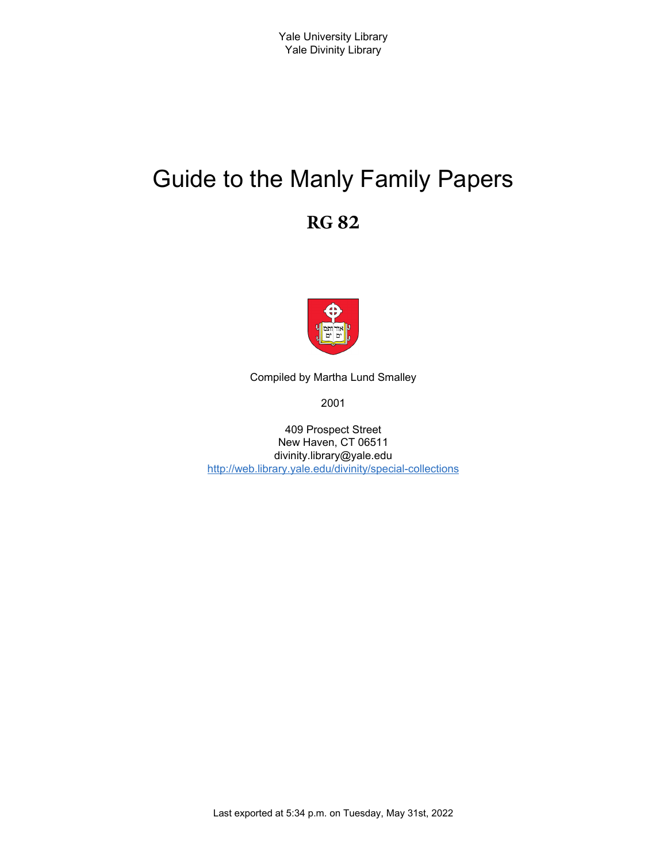# Guide to the Manly Family Papers **RG 82**



Compiled by Martha Lund Smalley

2001

409 Prospect Street New Haven, CT 06511 divinity.library@yale.edu <http://web.library.yale.edu/divinity/special-collections>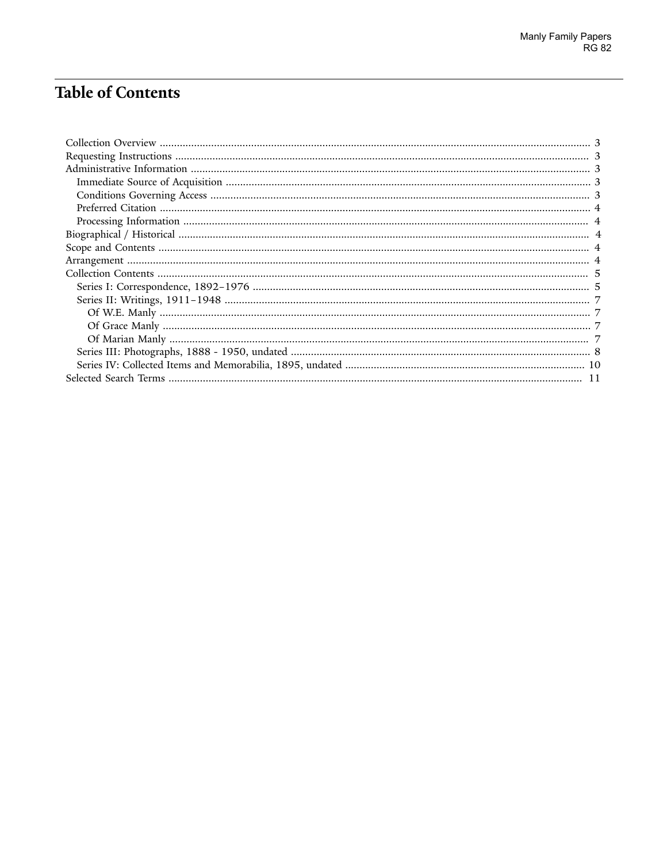# **Table of Contents**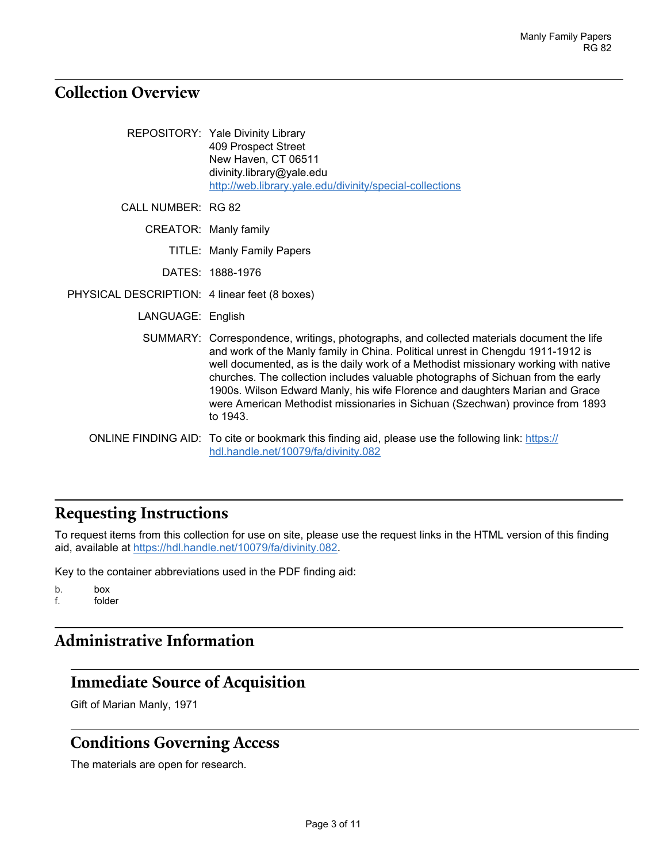## <span id="page-2-0"></span>**Collection Overview**

|                                               | REPOSITORY: Yale Divinity Library<br>409 Prospect Street<br>New Haven, CT 06511<br>divinity.library@yale.edu<br>http://web.library.yale.edu/divinity/special-collections                                                                                                                                                                                                                                                                                                                                                             |
|-----------------------------------------------|--------------------------------------------------------------------------------------------------------------------------------------------------------------------------------------------------------------------------------------------------------------------------------------------------------------------------------------------------------------------------------------------------------------------------------------------------------------------------------------------------------------------------------------|
| <b>CALL NUMBER: RG 82</b>                     |                                                                                                                                                                                                                                                                                                                                                                                                                                                                                                                                      |
|                                               | CREATOR: Manly family                                                                                                                                                                                                                                                                                                                                                                                                                                                                                                                |
|                                               | <b>TITLE: Manly Family Papers</b>                                                                                                                                                                                                                                                                                                                                                                                                                                                                                                    |
|                                               | DATES: 1888-1976                                                                                                                                                                                                                                                                                                                                                                                                                                                                                                                     |
| PHYSICAL DESCRIPTION: 4 linear feet (8 boxes) |                                                                                                                                                                                                                                                                                                                                                                                                                                                                                                                                      |
| LANGUAGE: English                             |                                                                                                                                                                                                                                                                                                                                                                                                                                                                                                                                      |
|                                               | SUMMARY: Correspondence, writings, photographs, and collected materials document the life<br>and work of the Manly family in China. Political unrest in Chengdu 1911-1912 is<br>well documented, as is the daily work of a Methodist missionary working with native<br>churches. The collection includes valuable photographs of Sichuan from the early<br>1900s. Wilson Edward Manly, his wife Florence and daughters Marian and Grace<br>were American Methodist missionaries in Sichuan (Szechwan) province from 1893<br>to 1943. |
|                                               | ONLINE FINDING AID: To cite or bookmark this finding aid, please use the following link: https://<br>hdl.handle.net/10079/fa/divinity.082                                                                                                                                                                                                                                                                                                                                                                                            |

# <span id="page-2-1"></span>**Requesting Instructions**

To request items from this collection for use on site, please use the request links in the HTML version of this finding aid, available at [https://hdl.handle.net/10079/fa/divinity.082.](https://hdl.handle.net/10079/fa/divinity.082)

Key to the container abbreviations used in the PDF finding aid:

b. box f. folder

# <span id="page-2-2"></span>**Administrative Information**

## <span id="page-2-3"></span>**Immediate Source of Acquisition**

Gift of Marian Manly, 1971

#### <span id="page-2-4"></span>**Conditions Governing Access**

The materials are open for research.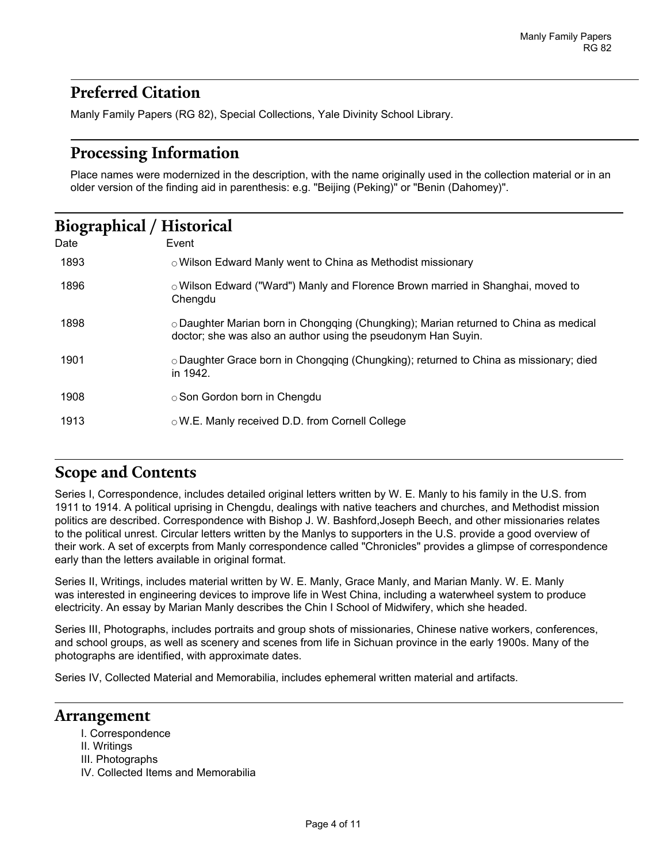## <span id="page-3-0"></span>**Preferred Citation**

Manly Family Papers (RG 82), Special Collections, Yale Divinity School Library.

### <span id="page-3-1"></span>**Processing Information**

Place names were modernized in the description, with the name originally used in the collection material or in an older version of the finding aid in parenthesis: e.g. "Beijing (Peking)" or "Benin (Dahomey)".

## <span id="page-3-2"></span>**Biographical / Historical**

| Date | Event                                                                                                                                                       |
|------|-------------------------------------------------------------------------------------------------------------------------------------------------------------|
| 1893 | o Wilson Edward Manly went to China as Methodist missionary                                                                                                 |
| 1896 | $\circ$ Wilson Edward ("Ward") Manly and Florence Brown married in Shanghai, moved to<br>Chengdu                                                            |
| 1898 | $\circ$ Daughter Marian born in Chongqing (Chungking); Marian returned to China as medical<br>doctor; she was also an author using the pseudonym Han Suyin. |
| 1901 | o Daughter Grace born in Chongqing (Chungking); returned to China as missionary; died<br>in 1942.                                                           |
| 1908 | $\circ$ Son Gordon born in Chengdu                                                                                                                          |
| 1913 | $\circ$ W.E. Manly received D.D. from Cornell College                                                                                                       |

## <span id="page-3-3"></span>**Scope and Contents**

Series I, Correspondence, includes detailed original letters written by W. E. Manly to his family in the U.S. from 1911 to 1914. A political uprising in Chengdu, dealings with native teachers and churches, and Methodist mission politics are described. Correspondence with Bishop J. W. Bashford,Joseph Beech, and other missionaries relates to the political unrest. Circular letters written by the Manlys to supporters in the U.S. provide a good overview of their work. A set of excerpts from Manly correspondence called "Chronicles" provides a glimpse of correspondence early than the letters available in original format.

Series II, Writings, includes material written by W. E. Manly, Grace Manly, and Marian Manly. W. E. Manly was interested in engineering devices to improve life in West China, including a waterwheel system to produce electricity. An essay by Marian Manly describes the Chin I School of Midwifery, which she headed.

Series III, Photographs, includes portraits and group shots of missionaries, Chinese native workers, conferences, and school groups, as well as scenery and scenes from life in Sichuan province in the early 1900s. Many of the photographs are identified, with approximate dates.

Series IV, Collected Material and Memorabilia, includes ephemeral written material and artifacts.

#### <span id="page-3-4"></span>**Arrangement**

- I. Correspondence
- II. Writings
- III. Photographs
- IV. Collected Items and Memorabilia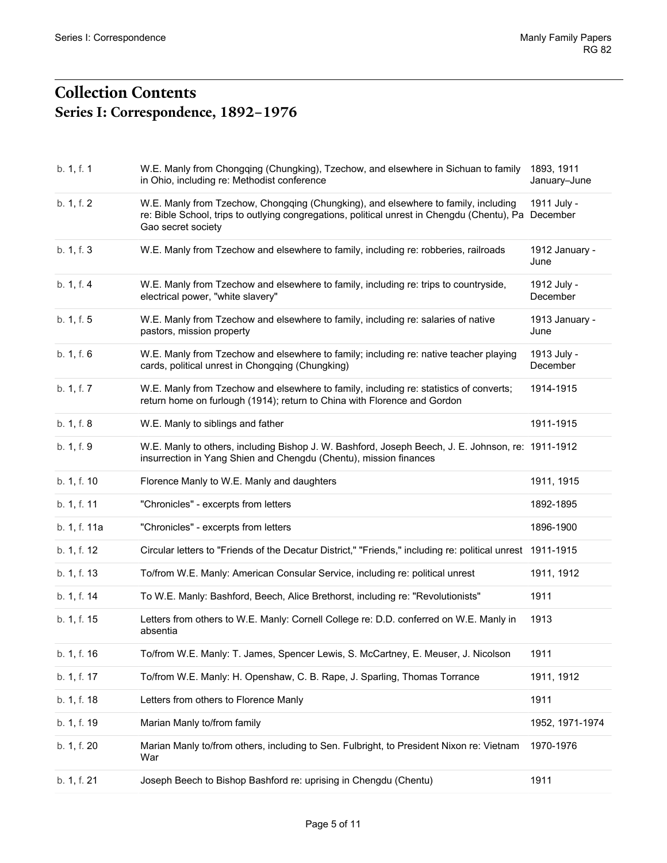## <span id="page-4-1"></span><span id="page-4-0"></span>**Collection Contents Series I: Correspondence, 1892–1976**

| b. 1, f. 1   | W.E. Manly from Chongqing (Chungking), Tzechow, and elsewhere in Sichuan to family<br>in Ohio, including re: Methodist conference                                                                       | 1893, 1911<br>January-June |
|--------------|---------------------------------------------------------------------------------------------------------------------------------------------------------------------------------------------------------|----------------------------|
| b. 1, f. 2   | W.E. Manly from Tzechow, Chongqing (Chungking), and elsewhere to family, including<br>re: Bible School, trips to outlying congregations, political unrest in Chengdu (Chentu), Pa<br>Gao secret society | 1911 July -<br>December    |
| b. 1, f. 3   | W.E. Manly from Tzechow and elsewhere to family, including re: robberies, railroads                                                                                                                     | 1912 January -<br>June     |
| b. 1, f. 4   | W.E. Manly from Tzechow and elsewhere to family, including re: trips to countryside,<br>electrical power, "white slavery"                                                                               | 1912 July -<br>December    |
| b. 1, f. 5   | W.E. Manly from Tzechow and elsewhere to family, including re: salaries of native<br>pastors, mission property                                                                                          | 1913 January -<br>June     |
| b. 1, f. 6   | W.E. Manly from Tzechow and elsewhere to family; including re: native teacher playing<br>cards, political unrest in Chongqing (Chungking)                                                               | 1913 July -<br>December    |
| b. 1, f. 7   | W.E. Manly from Tzechow and elsewhere to family, including re: statistics of converts;<br>return home on furlough (1914); return to China with Florence and Gordon                                      | 1914-1915                  |
| b. 1, f. 8   | W.E. Manly to siblings and father                                                                                                                                                                       | 1911-1915                  |
| b. 1, f. 9   | W.E. Manly to others, including Bishop J. W. Bashford, Joseph Beech, J. E. Johnson, re: 1911-1912<br>insurrection in Yang Shien and Chengdu (Chentu), mission finances                                  |                            |
| b. 1, f. 10  | Florence Manly to W.E. Manly and daughters                                                                                                                                                              | 1911, 1915                 |
| b. 1, f. 11  | "Chronicles" - excerpts from letters                                                                                                                                                                    | 1892-1895                  |
| b. 1, f. 11a | "Chronicles" - excerpts from letters                                                                                                                                                                    | 1896-1900                  |
| b. 1, f. 12  | Circular letters to "Friends of the Decatur District," "Friends," including re: political unrest 1911-1915                                                                                              |                            |
| b. 1, f. 13  | To/from W.E. Manly: American Consular Service, including re: political unrest                                                                                                                           | 1911, 1912                 |
| b. 1, f. 14  | To W.E. Manly: Bashford, Beech, Alice Brethorst, including re: "Revolutionists"                                                                                                                         | 1911                       |
| b. 1, f. 15  | Letters from others to W.E. Manly: Cornell College re: D.D. conferred on W.E. Manly in<br>absentia                                                                                                      | 1913                       |
| b. 1, f. 16  | To/from W.E. Manly: T. James, Spencer Lewis, S. McCartney, E. Meuser, J. Nicolson                                                                                                                       | 1911                       |
| b. 1, f. 17  | To/from W.E. Manly: H. Openshaw, C. B. Rape, J. Sparling, Thomas Torrance                                                                                                                               | 1911, 1912                 |
| b. 1, f. 18  | Letters from others to Florence Manly                                                                                                                                                                   | 1911                       |
| b. 1, f. 19  | Marian Manly to/from family                                                                                                                                                                             | 1952, 1971-1974            |
| b. 1, f. 20  | Marian Manly to/from others, including to Sen. Fulbright, to President Nixon re: Vietnam<br>War                                                                                                         | 1970-1976                  |
| b. 1, f. 21  | Joseph Beech to Bishop Bashford re: uprising in Chengdu (Chentu)                                                                                                                                        | 1911                       |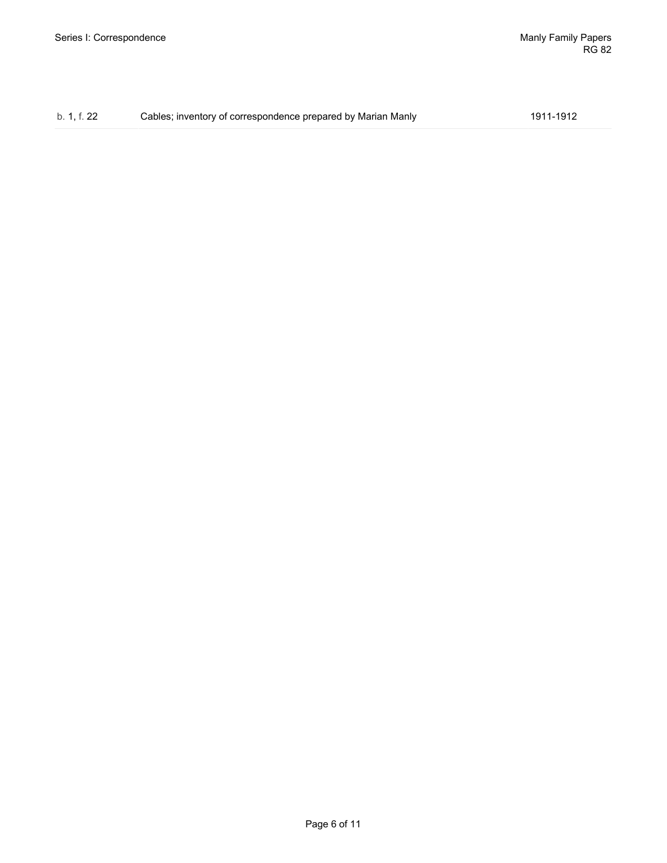| b. 1, f. 22 | Cables; inventory of correspondence prepared by Marian Manly | 1911-1912 |
|-------------|--------------------------------------------------------------|-----------|
|-------------|--------------------------------------------------------------|-----------|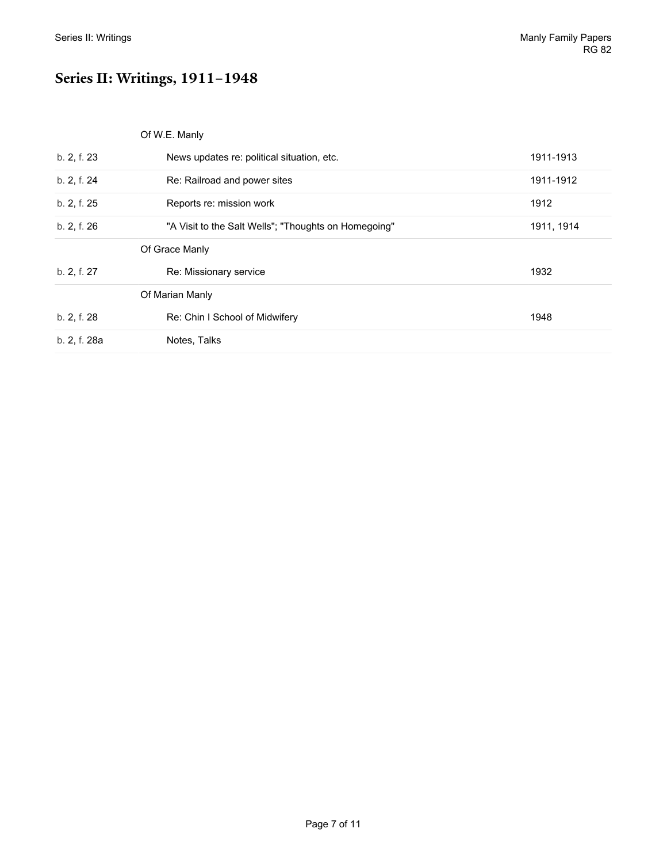# <span id="page-6-0"></span>**Series II: Writings, 1911–1948**

<span id="page-6-3"></span><span id="page-6-2"></span><span id="page-6-1"></span>

|  | Of W.E. Manly |  |
|--|---------------|--|
|  |               |  |

| b. 2, f. 23  | News updates re: political situation, etc.           | 1911-1913  |
|--------------|------------------------------------------------------|------------|
| b. 2, f. 24  | Re: Railroad and power sites                         | 1911-1912  |
| b. 2, f. 25  | Reports re: mission work                             | 1912       |
| b. 2, f. 26  | "A Visit to the Salt Wells"; "Thoughts on Homegoing" | 1911, 1914 |
|              | Of Grace Manly                                       |            |
| b. 2, f. 27  | Re: Missionary service                               | 1932       |
|              | Of Marian Manly                                      |            |
| b. 2, f. 28  | Re: Chin I School of Midwifery                       | 1948       |
| b. 2, f. 28a | Notes, Talks                                         |            |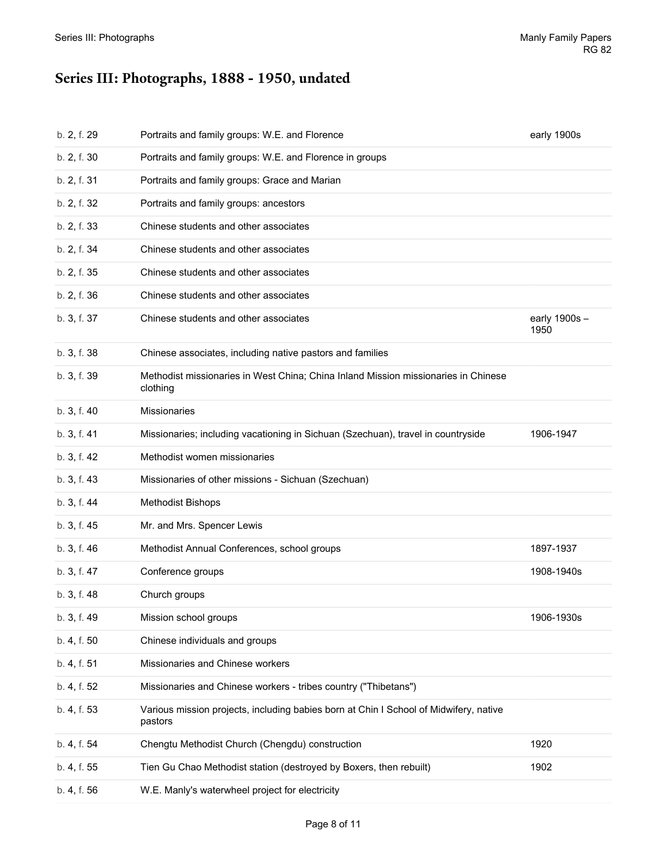# <span id="page-7-0"></span>**Series III: Photographs, 1888 - 1950, undated**

| b. 2, f. 29 | Portraits and family groups: W.E. and Florence                                                   | early 1900s          |
|-------------|--------------------------------------------------------------------------------------------------|----------------------|
| b. 2, f. 30 | Portraits and family groups: W.E. and Florence in groups                                         |                      |
| b. 2, f. 31 | Portraits and family groups: Grace and Marian                                                    |                      |
| b. 2, f. 32 | Portraits and family groups: ancestors                                                           |                      |
| b. 2, f. 33 | Chinese students and other associates                                                            |                      |
| b. 2, f. 34 | Chinese students and other associates                                                            |                      |
| b. 2, f. 35 | Chinese students and other associates                                                            |                      |
| b. 2, f. 36 | Chinese students and other associates                                                            |                      |
| b. 3, f. 37 | Chinese students and other associates                                                            | early 1900s-<br>1950 |
| b. 3, f. 38 | Chinese associates, including native pastors and families                                        |                      |
| b. 3, f. 39 | Methodist missionaries in West China; China Inland Mission missionaries in Chinese<br>clothing   |                      |
| b. 3, f. 40 | <b>Missionaries</b>                                                                              |                      |
| b. 3, f. 41 | Missionaries; including vacationing in Sichuan (Szechuan), travel in countryside                 | 1906-1947            |
| b. 3, f. 42 | Methodist women missionaries                                                                     |                      |
| b. 3, f. 43 | Missionaries of other missions - Sichuan (Szechuan)                                              |                      |
| b. 3, f. 44 | <b>Methodist Bishops</b>                                                                         |                      |
| b. 3, f. 45 | Mr. and Mrs. Spencer Lewis                                                                       |                      |
| b. 3, f. 46 | Methodist Annual Conferences, school groups                                                      | 1897-1937            |
| b. 3, f. 47 | Conference groups                                                                                | 1908-1940s           |
| b. 3, f. 48 | Church groups                                                                                    |                      |
| b. 3, f. 49 | Mission school groups                                                                            | 1906-1930s           |
| b. 4, f. 50 | Chinese individuals and groups                                                                   |                      |
| b. 4, f. 51 | Missionaries and Chinese workers                                                                 |                      |
| b. 4, f. 52 | Missionaries and Chinese workers - tribes country ("Thibetans")                                  |                      |
| b. 4, f. 53 | Various mission projects, including babies born at Chin I School of Midwifery, native<br>pastors |                      |
| b. 4, f. 54 | Chengtu Methodist Church (Chengdu) construction                                                  | 1920                 |
| b. 4, f. 55 | Tien Gu Chao Methodist station (destroyed by Boxers, then rebuilt)                               | 1902                 |
| b. 4, f. 56 | W.E. Manly's waterwheel project for electricity                                                  |                      |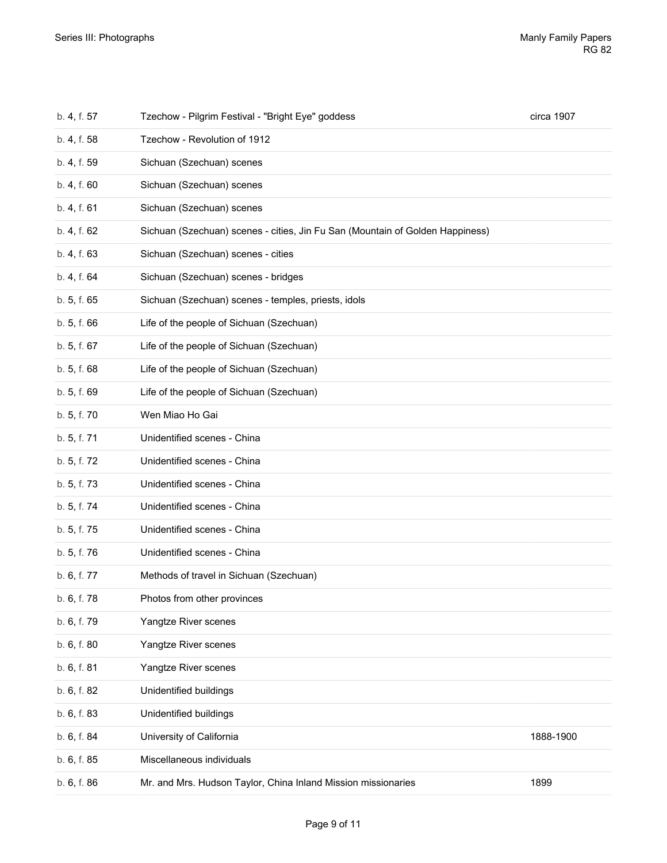| b. 4, f. 57 | Tzechow - Pilgrim Festival - "Bright Eye" goddess                             | circa 1907 |
|-------------|-------------------------------------------------------------------------------|------------|
| b. 4, f. 58 | Tzechow - Revolution of 1912                                                  |            |
| b. 4, f. 59 | Sichuan (Szechuan) scenes                                                     |            |
| b. 4, f. 60 | Sichuan (Szechuan) scenes                                                     |            |
| b. 4, f. 61 | Sichuan (Szechuan) scenes                                                     |            |
| b. 4, f. 62 | Sichuan (Szechuan) scenes - cities, Jin Fu San (Mountain of Golden Happiness) |            |
| b. 4, f. 63 | Sichuan (Szechuan) scenes - cities                                            |            |
| b. 4, f. 64 | Sichuan (Szechuan) scenes - bridges                                           |            |
| b. 5, f. 65 | Sichuan (Szechuan) scenes - temples, priests, idols                           |            |
| b. 5, f. 66 | Life of the people of Sichuan (Szechuan)                                      |            |
| b. 5, f. 67 | Life of the people of Sichuan (Szechuan)                                      |            |
| b. 5, f. 68 | Life of the people of Sichuan (Szechuan)                                      |            |
| b. 5, f. 69 | Life of the people of Sichuan (Szechuan)                                      |            |
| b. 5, f. 70 | Wen Miao Ho Gai                                                               |            |
| b. 5, f. 71 | Unidentified scenes - China                                                   |            |
| b. 5, f. 72 | Unidentified scenes - China                                                   |            |
| b. 5, f. 73 | Unidentified scenes - China                                                   |            |
| b. 5, f. 74 | Unidentified scenes - China                                                   |            |
| b. 5, f. 75 | Unidentified scenes - China                                                   |            |
| b. 5, f. 76 | Unidentified scenes - China                                                   |            |
| b. 6, f. 77 | Methods of travel in Sichuan (Szechuan)                                       |            |
| b. 6, f. 78 | Photos from other provinces                                                   |            |
| b. 6, f. 79 | Yangtze River scenes                                                          |            |
| b. 6, f. 80 | Yangtze River scenes                                                          |            |
| b. 6, f. 81 | Yangtze River scenes                                                          |            |
| b. 6, f. 82 | Unidentified buildings                                                        |            |
| b. 6, f. 83 | Unidentified buildings                                                        |            |
| b. 6, f. 84 | University of California                                                      | 1888-1900  |
| b. 6, f. 85 | Miscellaneous individuals                                                     |            |
| b. 6, f. 86 | Mr. and Mrs. Hudson Taylor, China Inland Mission missionaries                 | 1899       |
|             |                                                                               |            |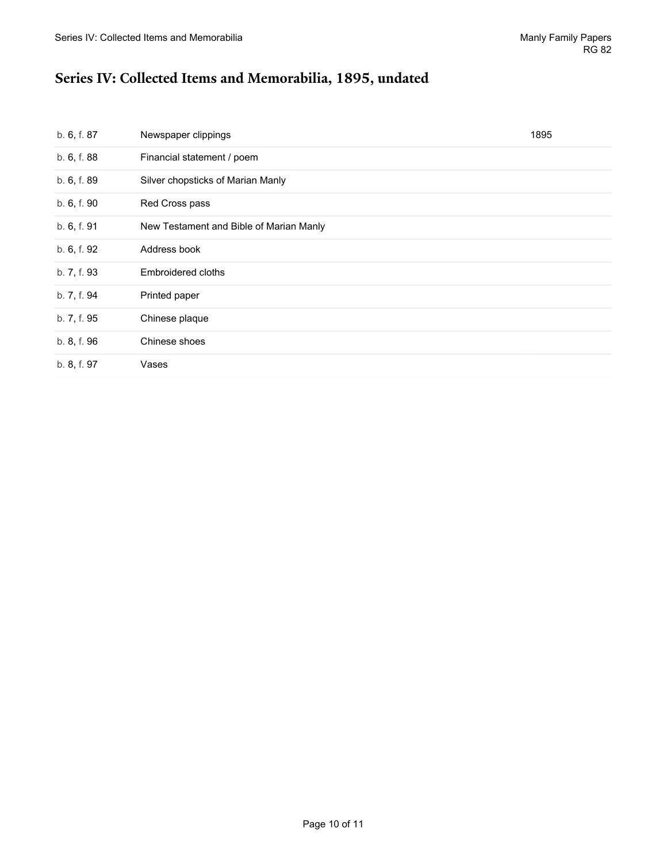# <span id="page-9-0"></span>**Series IV: Collected Items and Memorabilia, 1895, undated**

| b. 6, f. 87 | Newspaper clippings                     | 1895 |
|-------------|-----------------------------------------|------|
| b. 6, f. 88 | Financial statement / poem              |      |
| b. 6, f. 89 | Silver chopsticks of Marian Manly       |      |
| b. 6, f. 90 | Red Cross pass                          |      |
| b. 6, f. 91 | New Testament and Bible of Marian Manly |      |
| b. 6, f. 92 | Address book                            |      |
| b. 7, f. 93 | Embroidered cloths                      |      |
| b. 7, f. 94 | Printed paper                           |      |
| b. 7, f. 95 | Chinese plaque                          |      |
| b. 8, f. 96 | Chinese shoes                           |      |
| b. 8, f. 97 | Vases                                   |      |